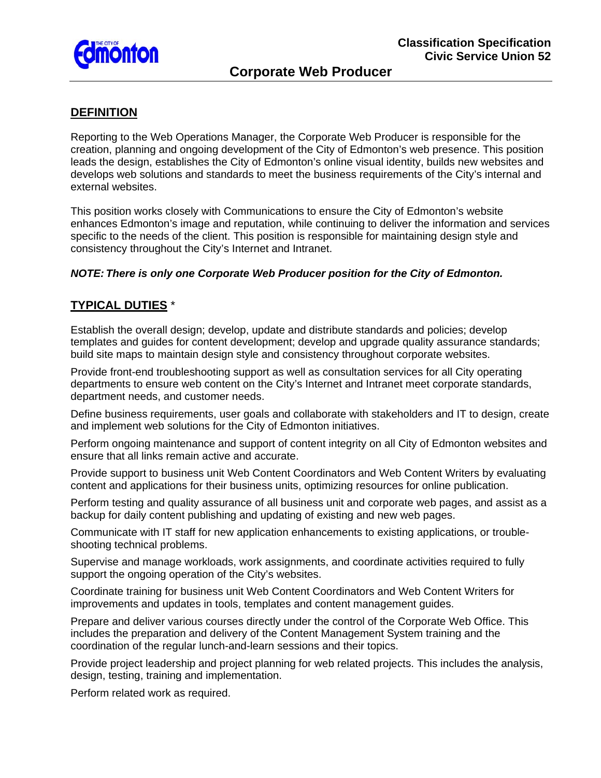

# **DEFINITION**

Reporting to the Web Operations Manager, the Corporate Web Producer is responsible for the creation, planning and ongoing development of the City of Edmonton's web presence. This position leads the design, establishes the City of Edmonton's online visual identity, builds new websites and develops web solutions and standards to meet the business requirements of the City's internal and external websites.

This position works closely with Communications to ensure the City of Edmonton's website enhances Edmonton's image and reputation, while continuing to deliver the information and services specific to the needs of the client. This position is responsible for maintaining design style and consistency throughout the City's Internet and Intranet.

#### *NOTE: There is only one Corporate Web Producer position for the City of Edmonton.*

## **TYPICAL DUTIES** \*

Establish the overall design; develop, update and distribute standards and policies; develop templates and guides for content development; develop and upgrade quality assurance standards; build site maps to maintain design style and consistency throughout corporate websites.

Provide front-end troubleshooting support as well as consultation services for all City operating departments to ensure web content on the City's Internet and Intranet meet corporate standards, department needs, and customer needs.

Define business requirements, user goals and collaborate with stakeholders and IT to design, create and implement web solutions for the City of Edmonton initiatives.

Perform ongoing maintenance and support of content integrity on all City of Edmonton websites and ensure that all links remain active and accurate.

Provide support to business unit Web Content Coordinators and Web Content Writers by evaluating content and applications for their business units, optimizing resources for online publication.

Perform testing and quality assurance of all business unit and corporate web pages, and assist as a backup for daily content publishing and updating of existing and new web pages.

Communicate with IT staff for new application enhancements to existing applications, or troubleshooting technical problems.

Supervise and manage workloads, work assignments, and coordinate activities required to fully support the ongoing operation of the City's websites.

Coordinate training for business unit Web Content Coordinators and Web Content Writers for improvements and updates in tools, templates and content management guides.

Prepare and deliver various courses directly under the control of the Corporate Web Office. This includes the preparation and delivery of the Content Management System training and the coordination of the regular lunch-and-learn sessions and their topics.

Provide project leadership and project planning for web related projects. This includes the analysis, design, testing, training and implementation.

Perform related work as required.